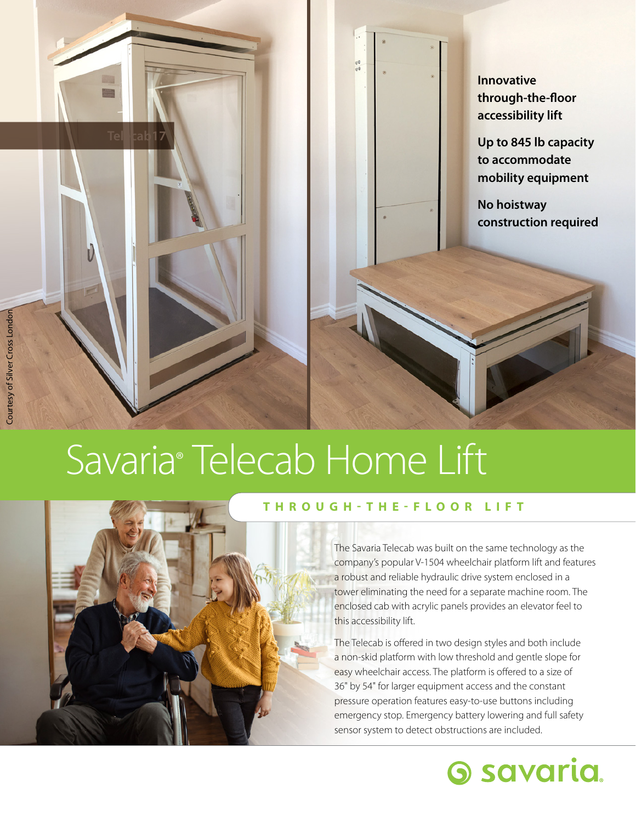

**Up to 845 lb capacity to accommodate mobility equipment**

**No hoistway construction required**

## Savaria® Telecab Home Lift



Tel**ecab17** 

## **THROUGH-THE-FLOOR LIFT**

The Savaria Telecab was built on the same technology as the company's popular V-1504 wheelchair platform lift and features a robust and reliable hydraulic drive system enclosed in a tower eliminating the need for a separate machine room. The enclosed cab with acrylic panels provides an elevator feel to this accessibility lift.

The Telecab is offered in two design styles and both include a non-skid platform with low threshold and gentle slope for easy wheelchair access. The platform is offered to a size of 36" by 54" for larger equipment access and the constant pressure operation features easy-to-use buttons including emergency stop. Emergency battery lowering and full safety sensor system to detect obstructions are included.